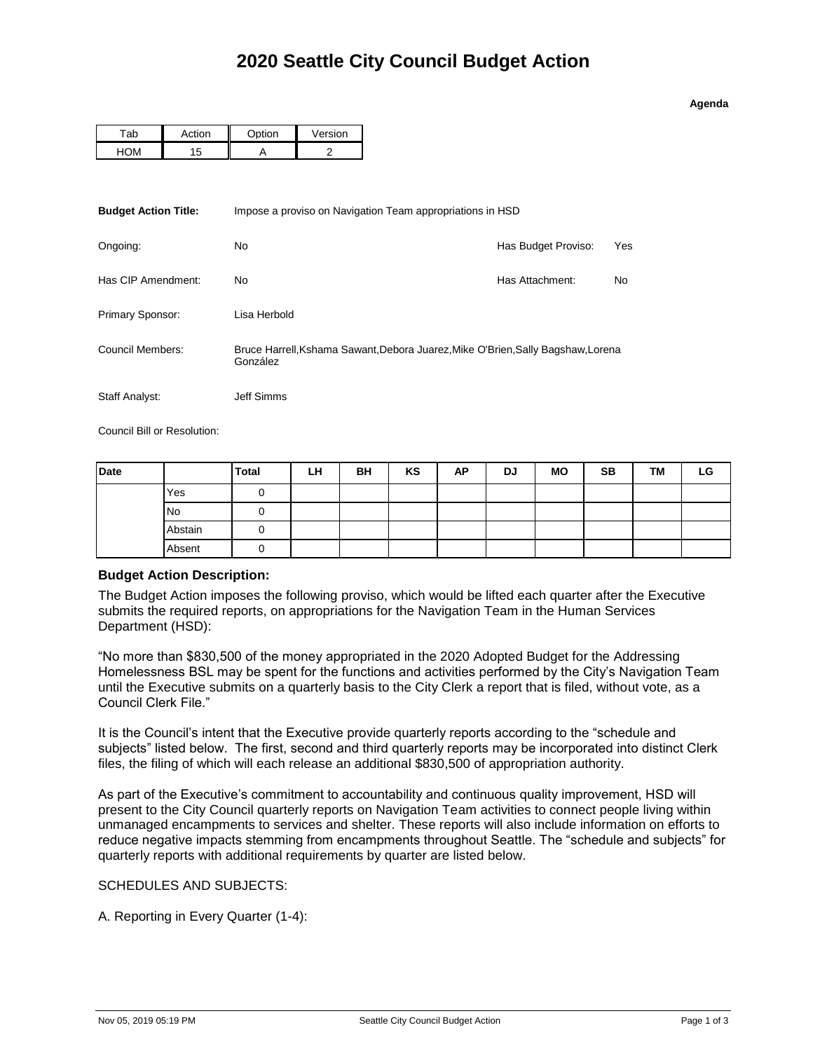## **Agenda**

| ้ี่∩่⊦ | $-$ | $\cap$ ntion | Version |
|--------|-----|--------------|---------|
|        |     |              |         |

| <b>Budget Action Title:</b> | Impose a proviso on Navigation Team appropriations in HSD                                    |                     |     |  |  |
|-----------------------------|----------------------------------------------------------------------------------------------|---------------------|-----|--|--|
| Ongoing:                    | N <sub>0</sub>                                                                               | Has Budget Proviso: | Yes |  |  |
| Has CIP Amendment:          | No.                                                                                          | Has Attachment:     | No  |  |  |
| Primary Sponsor:            | Lisa Herbold                                                                                 |                     |     |  |  |
| Council Members:            | Bruce Harrell, Kshama Sawant, Debora Juarez, Mike O'Brien, Sally Bagshaw, Lorena<br>González |                     |     |  |  |
| Staff Analyst:              | Jeff Simms                                                                                   |                     |     |  |  |

Council Bill or Resolution:

| Date             |         | <b>Total</b> | LН | <b>BH</b> | KS | <b>AP</b> | <b>DJ</b> | <b>MO</b> | <b>SB</b> | <b>TM</b> | LG |
|------------------|---------|--------------|----|-----------|----|-----------|-----------|-----------|-----------|-----------|----|
| Yes<br><b>No</b> |         |              |    |           |    |           |           |           |           |           |    |
|                  |         |              |    |           |    |           |           |           |           |           |    |
|                  | Abstain |              |    |           |    |           |           |           |           |           |    |
|                  | Absent  |              |    |           |    |           |           |           |           |           |    |

## **Budget Action Description:**

The Budget Action imposes the following proviso, which would be lifted each quarter after the Executive submits the required reports, on appropriations for the Navigation Team in the Human Services Department (HSD):

"No more than \$830,500 of the money appropriated in the 2020 Adopted Budget for the Addressing Homelessness BSL may be spent for the functions and activities performed by the City's Navigation Team until the Executive submits on a quarterly basis to the City Clerk a report that is filed, without vote, as a Council Clerk File."

It is the Council's intent that the Executive provide quarterly reports according to the "schedule and subjects" listed below. The first, second and third quarterly reports may be incorporated into distinct Clerk files, the filing of which will each release an additional \$830,500 of appropriation authority.

As part of the Executive's commitment to accountability and continuous quality improvement, HSD will present to the City Council quarterly reports on Navigation Team activities to connect people living within unmanaged encampments to services and shelter. These reports will also include information on efforts to reduce negative impacts stemming from encampments throughout Seattle. The "schedule and subjects" for quarterly reports with additional requirements by quarter are listed below.

SCHEDULES AND SUBJECTS:

A. Reporting in Every Quarter (1-4):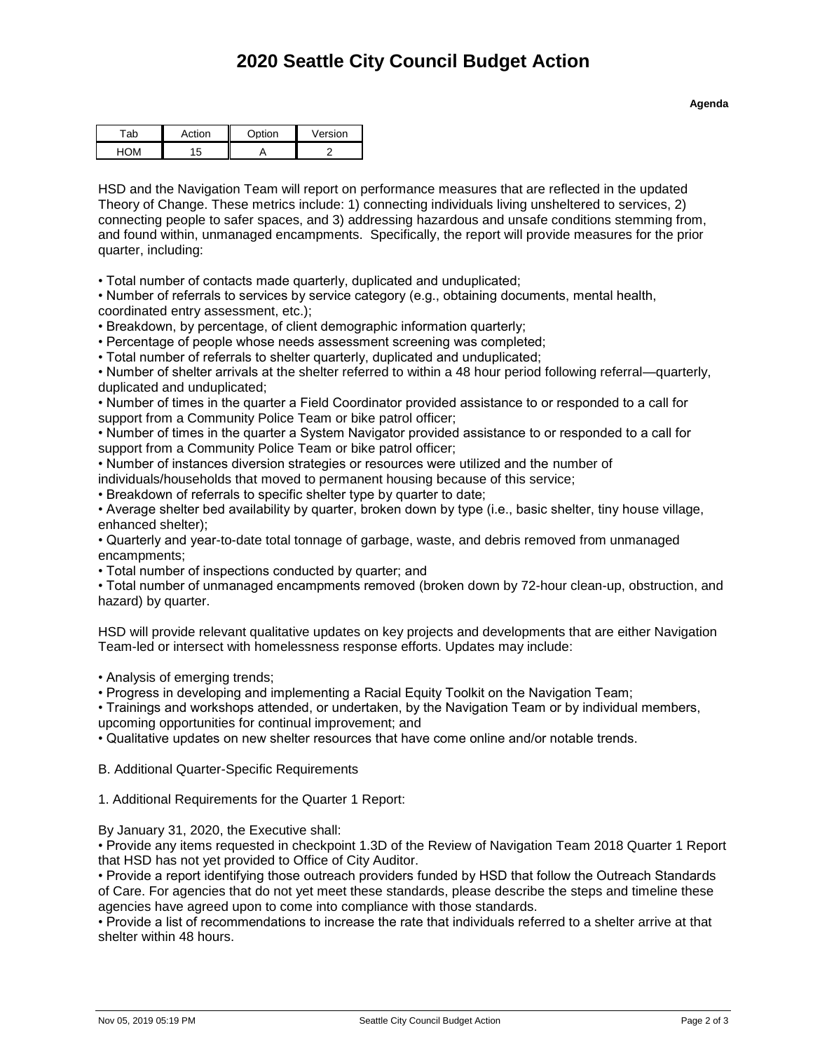## **2020 Seattle City Council Budget Action**

| ction              | <b>Option</b> | Version |  |
|--------------------|---------------|---------|--|
| ь.<br>$\mathbf{r}$ |               |         |  |

HSD and the Navigation Team will report on performance measures that are reflected in the updated Theory of Change. These metrics include: 1) connecting individuals living unsheltered to services, 2) connecting people to safer spaces, and 3) addressing hazardous and unsafe conditions stemming from, and found within, unmanaged encampments. Specifically, the report will provide measures for the prior quarter, including:

• Total number of contacts made quarterly, duplicated and unduplicated;

• Number of referrals to services by service category (e.g., obtaining documents, mental health, coordinated entry assessment, etc.);

• Breakdown, by percentage, of client demographic information quarterly;

• Percentage of people whose needs assessment screening was completed;

• Total number of referrals to shelter quarterly, duplicated and unduplicated;

• Number of shelter arrivals at the shelter referred to within a 48 hour period following referral—quarterly, duplicated and unduplicated;

• Number of times in the quarter a Field Coordinator provided assistance to or responded to a call for support from a Community Police Team or bike patrol officer;

• Number of times in the quarter a System Navigator provided assistance to or responded to a call for support from a Community Police Team or bike patrol officer;

• Number of instances diversion strategies or resources were utilized and the number of

individuals/households that moved to permanent housing because of this service;

• Breakdown of referrals to specific shelter type by quarter to date;

• Average shelter bed availability by quarter, broken down by type (i.e., basic shelter, tiny house village, enhanced shelter);

• Quarterly and year-to-date total tonnage of garbage, waste, and debris removed from unmanaged encampments;

• Total number of inspections conducted by quarter; and

• Total number of unmanaged encampments removed (broken down by 72-hour clean-up, obstruction, and hazard) by quarter.

HSD will provide relevant qualitative updates on key projects and developments that are either Navigation Team-led or intersect with homelessness response efforts. Updates may include:

• Analysis of emerging trends;

• Progress in developing and implementing a Racial Equity Toolkit on the Navigation Team;

• Trainings and workshops attended, or undertaken, by the Navigation Team or by individual members,

upcoming opportunities for continual improvement; and

• Qualitative updates on new shelter resources that have come online and/or notable trends.

B. Additional Quarter-Specific Requirements

1. Additional Requirements for the Quarter 1 Report:

By January 31, 2020, the Executive shall:

• Provide any items requested in checkpoint 1.3D of the Review of Navigation Team 2018 Quarter 1 Report that HSD has not yet provided to Office of City Auditor.

• Provide a report identifying those outreach providers funded by HSD that follow the Outreach Standards of Care. For agencies that do not yet meet these standards, please describe the steps and timeline these agencies have agreed upon to come into compliance with those standards.

• Provide a list of recommendations to increase the rate that individuals referred to a shelter arrive at that shelter within 48 hours.